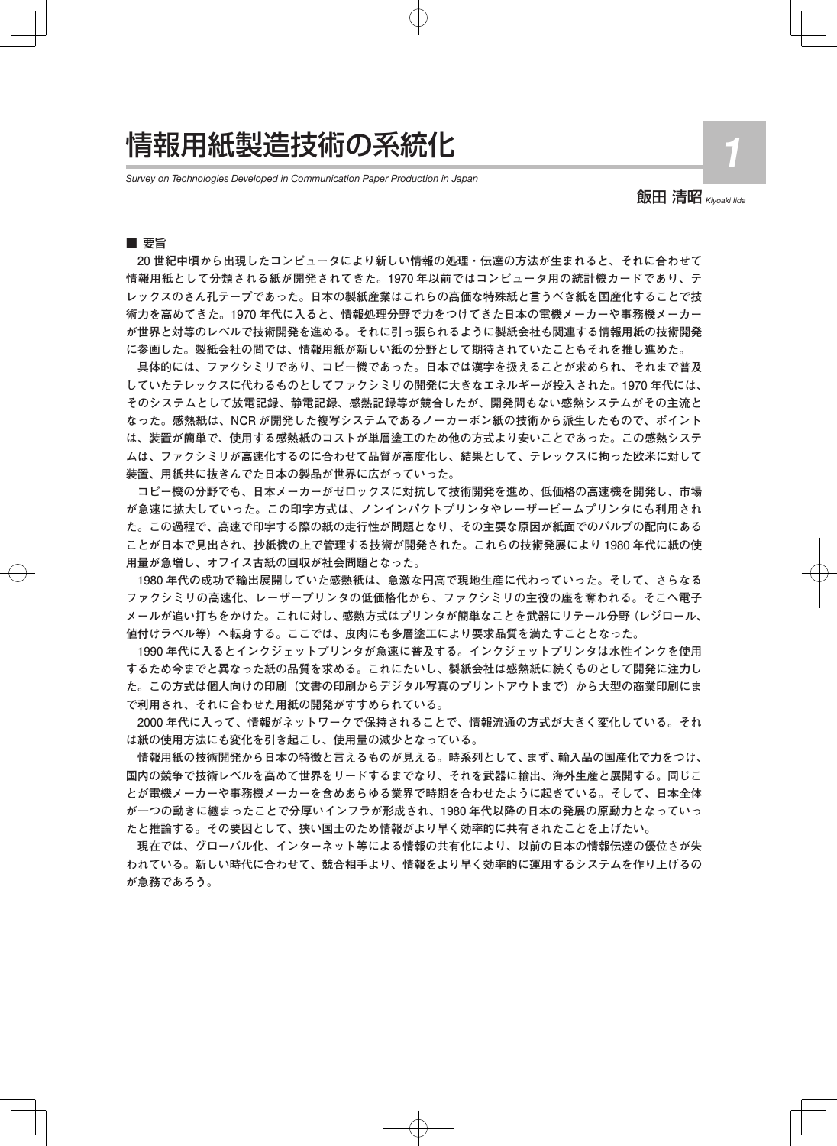# 情報用紙製造技術の系統化

*Survey on Technologies Developed in Communication Paper Production in Japan*

飯田 清昭 *Kiyoaki Iida*

**1**

# ■ 要旨

**20 世紀中頃から出現したコンピュータにより新しい情報の処理・伝達の方法が生まれると、それに合わせて 情報用紙として分類される紙が開発されてきた。1970 年以前ではコンピュータ用の統計機カードであり、テ レックスのさん孔テープであった。日本の製紙産業はこれらの高価な特殊紙と言うべき紙を国産化することで技 術力を高めてきた。1970 年代に入ると、情報処理分野で力をつけてきた日本の電機メーカーや事務機メーカー が世界と対等のレベルで技術開発を進める。それに引っ張られるように製紙会社も関連する情報用紙の技術開発 に参画した。製紙会社の間では、情報用紙が新しい紙の分野として期待されていたこともそれを推し進めた。**

**具体的には、ファクシミリであり、コピー機であった。日本では漢字を扱えることが求められ、それまで普及 していたテレックスに代わるものとしてファクシミリの開発に大きなエネルギーが投入された。1970 年代には、 そのシステムとして放電記録、静電記録、感熱記録等が競合したが、開発間もない感熱システムがその主流と なった。感熱紙は、NCR が開発した複写システムであるノーカーボン紙の技術から派生したもので、ポイント は、装置が簡単で、使用する感熱紙のコストが単層塗工のため他の方式より安いことであった。この感熱システ ムは、ファクシミリが高速化するのに合わせて品質が高度化し、結果として、テレックスに拘った欧米に対して 装置、用紙共に抜きんでた日本の製品が世界に広がっていった。**

**コピー機の分野でも、日本メーカーがゼロックスに対抗して技術開発を進め、低価格の高速機を開発し、市場 が急速に拡大していった。この印字方式は、ノンインパクトプリンタやレーザービームプリンタにも利用され た。この過程で、高速で印字する際の紙の走行性が問題となり、その主要な原因が紙面でのパルプの配向にある ことが日本で見出され、抄紙機の上で管理する技術が開発された。これらの技術発展により 1980 年代に紙の使 用量が急増し、オフイス古紙の回収が社会問題となった。**

**1980 年代の成功で輸出展開していた感熱紙は、急激な円高で現地生産に代わっていった。そして、さらなる ファクシミリの高速化、レーザープリンタの低価格化から、ファクシミリの主役の座を奪われる。そこへ電子 メールが追い打ちをかけた。これに対し、感熱方式はプリンタが簡単なことを武器にリテール分野(レジロール、 値付けラベル等)へ転身する。ここでは、皮肉にも多層塗工により要求品質を満たすこととなった。**

**1990 年代に入るとインクジェットプリンタが急速に普及する。インクジェットプリンタは水性インクを使用 するため今までと異なった紙の品質を求める。これにたいし、製紙会社は感熱紙に続くものとして開発に注力し** た。この方式は個人向けの印刷 (文書の印刷からデジタル写真のプリントアウトまで) から大型の商業印刷にま **で利用され、それに合わせた用紙の開発がすすめられている。**

**2000 年代に入って、情報がネットワークで保持されることで、情報流通の方式が大きく変化している。それ は紙の使用方法にも変化を引き起こし、使用量の減少となっている。**

**情報用紙の技術開発から日本の特徴と言えるものが見える。時系列として、まず、輸入品の国産化で力をつけ、 国内の競争で技術レベルを高めて世界をリードするまでなり、それを武器に輸出、海外生産と展開する。同じこ とが電機メーカーや事務機メーカーを含めあらゆる業界で時期を合わせたように起きている。そして、日本全体 が一つの動きに纏まったことで分厚いインフラが形成され、1980 年代以降の日本の発展の原動力となっていっ たと推論する。その要因として、狭い国土のため情報がより早く効率的に共有されたことを上げたい。**

**現在では、グローバル化、インターネット等による情報の共有化により、以前の日本の情報伝達の優位さが失 われている。新しい時代に合わせて、競合相手より、情報をより早く効率的に運用するシステムを作り上げるの が急務であろう。**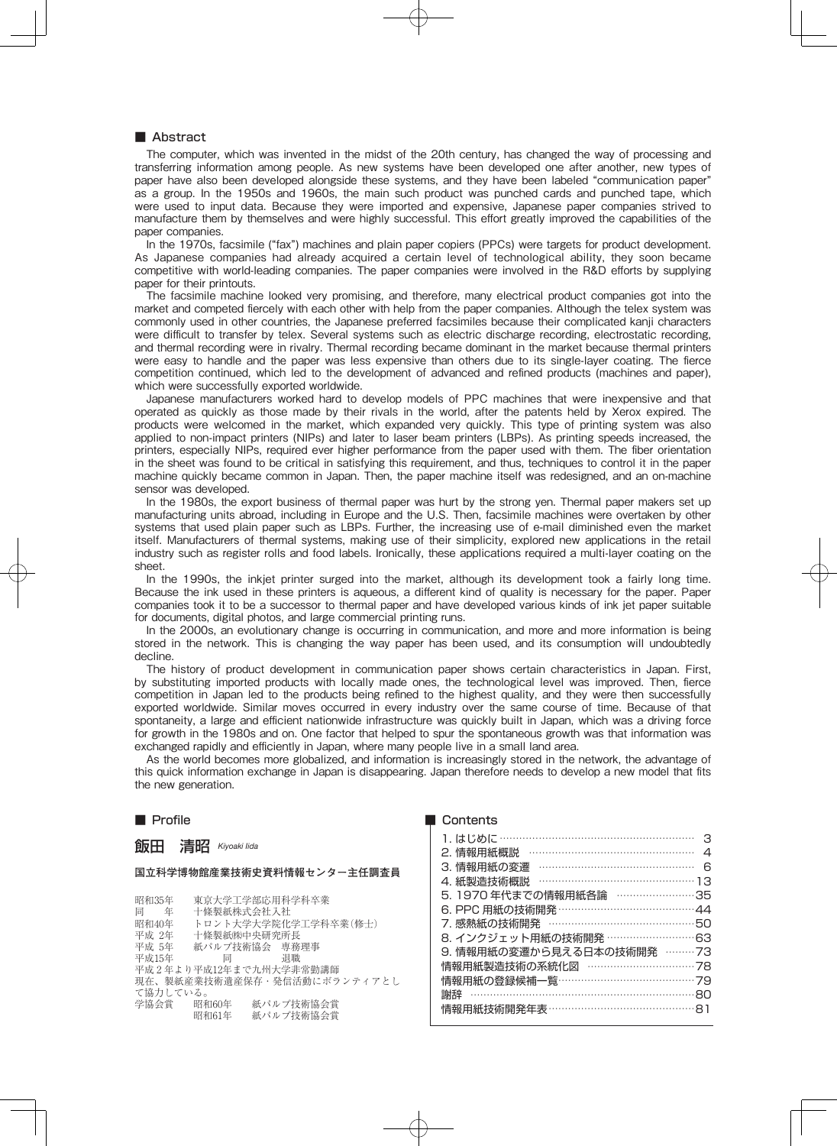## ■ Abstract

The computer, which was invented in the midst of the 20th century, has changed the way of processing and transferring information among people. As new systems have been developed one after another, new types of paper have also been developed alongside these systems, and they have been labeled "communication paper" as a group. In the 1950s and 1960s, the main such product was punched cards and punched tape, which were used to input data. Because they were imported and expensive, Japanese paper companies strived to manufacture them by themselves and were highly successful. This effort greatly improved the capabilities of the paper companies.

In the 1970s, facsimile ("fax") machines and plain paper copiers (PPCs) were targets for product development. As Japanese companies had already acquired a certain level of technological ability, they soon became competitive with world-leading companies. The paper companies were involved in the R&D efforts by supplying paper for their printouts.

The facsimile machine looked very promising, and therefore, many electrical product companies got into the market and competed fiercely with each other with help from the paper companies. Although the telex system was commonly used in other countries, the Japanese preferred facsimiles because their complicated kanji characters were difficult to transfer by telex. Several systems such as electric discharge recording, electrostatic recording, and thermal recording were in rivalry. Thermal recording became dominant in the market because thermal printers were easy to handle and the paper was less expensive than others due to its single-layer coating. The fierce competition continued, which led to the development of advanced and refined products (machines and paper), which were successfully exported worldwide.

Japanese manufacturers worked hard to develop models of PPC machines that were inexpensive and that operated as quickly as those made by their rivals in the world, after the patents held by Xerox expired. The products were welcomed in the market, which expanded very quickly. This type of printing system was also applied to non-impact printers (NIPs) and later to laser beam printers (LBPs). As printing speeds increased, the printers, especially NIPs, required ever higher performance from the paper used with them. The fiber orientation in the sheet was found to be critical in satisfying this requirement, and thus, techniques to control it in the paper machine quickly became common in Japan. Then, the paper machine itself was redesigned, and an on-machine sensor was developed.

In the 1980s, the export business of thermal paper was hurt by the strong yen. Thermal paper makers set up manufacturing units abroad, including in Europe and the U.S. Then, facsimile machines were overtaken by other systems that used plain paper such as LBPs. Further, the increasing use of e-mail diminished even the market itself. Manufacturers of thermal systems, making use of their simplicity, explored new applications in the retail industry such as register rolls and food labels. Ironically, these applications required a multi-layer coating on the sheet.

In the 1990s, the inkjet printer surged into the market, although its development took a fairly long time. Because the ink used in these printers is aqueous, a different kind of quality is necessary for the paper. Paper companies took it to be a successor to thermal paper and have developed various kinds of ink jet paper suitable for documents, digital photos, and large commercial printing runs.

In the 2000s, an evolutionary change is occurring in communication, and more and more information is being stored in the network. This is changing the way paper has been used, and its consumption will undoubtedly decline.

The history of product development in communication paper shows certain characteristics in Japan. First, by substituting imported products with locally made ones, the technological level was improved. Then, fierce competition in Japan led to the products being refined to the highest quality, and they were then successfully exported worldwide. Similar moves occurred in every industry over the same course of time. Because of that spontaneity, a large and efficient nationwide infrastructure was quickly built in Japan, which was a driving force for growth in the 1980s and on. One factor that helped to spur the spontaneous growth was that information was exchanged rapidly and efficiently in Japan, where many people live in a small land area.

As the world becomes more globalized, and information is increasingly stored in the network, the advantage of this quick information exchange in Japan is disappearing. Japan therefore needs to develop a new model that fits the new generation.

## ■ Profile

# 飯田 清昭 *Kiyoaki Iida*

#### **国立科学博物館産業技術史資料情報センター主任調査員**

昭和35年 東京大学工学部応用科学科卒業<br>同 年 十修製紙株式会社入社 同 年 十條製紙株式会社入社<br>昭和40年 トロント大学大学院化 昭和40年 トロント大学大学院化学工学科卒業(修士)<br>平成 2年 十條製紙㈱中央研究所長 ート<br>平成 2年 - 十條製紙㈱中央研究所長<br>平成 5年 - 紙パルプ技術協会 東務 平成 5年 紙パルプ技術協会 専務理事<br>平成15年 - 同 - 退職 平成15年 同 退職 平成 2 年より平成12年まで九州大学非常勤講師 現在、製紙産業技術遺産保存·発信活動にボランティアとし て協力している。 昭和60年 紙パルプ技術協会賞<br>昭和61年 紙パルプ技術協会賞 紙パルプ技術協会賞

#### ■ Contents

| 2. 情報用紙概説 …………………………………………    | $\Delta$ |
|-------------------------------|----------|
| 3. 情報用紙の変遷 ………………………………………    | 6        |
| 4. 紙製造技術概説 ………………………………………13  |          |
| 5.1970 年代までの情報用紙各論 ……………………35 |          |
|                               |          |
| 7. 感熱紙の技術開発 ……………………………………50  |          |
| 8. インクジェット用紙の技術開発 ……………………63  |          |
| 9. 情報用紙の変遷から見える日本の技術開発 ………73  |          |
| 情報用紙製造技術の系統化図 …………………………78    |          |
| 情報用紙の登録候補一覧 …………………………………… 79 |          |
| 謝辞 ………………………………………………………………80 |          |
| 情報用紙技術開発年表 ………………………………………81  |          |
|                               |          |